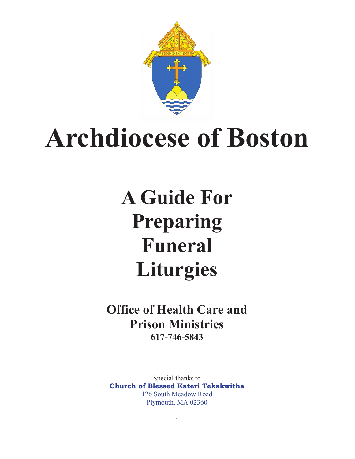

## **Archdiocese of Boston**

## **A Guide For Preparing Funeral Liturgies**

**Office of Health Care and Prison Ministries 617-746-5843** 

Special thanks to **Church of Blessed Kateri Tekakwitha** 126 South Meadow Road Plymouth, MA 02360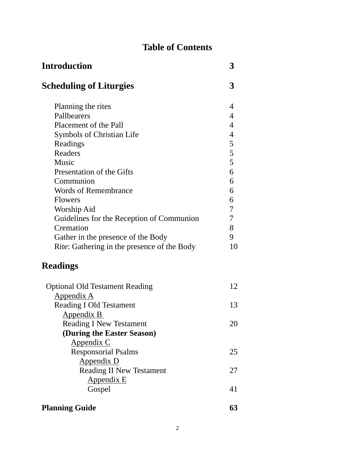### **Table of Contents**

| <b>Introduction</b>                         | 3                              |
|---------------------------------------------|--------------------------------|
| <b>Scheduling of Liturgies</b>              | 3                              |
| Planning the rites                          | 4                              |
| Pallbearers                                 | $\overline{4}$                 |
| Placement of the Pall                       | $\overline{4}$                 |
| <b>Symbols of Christian Life</b>            | $\frac{4}{5}$<br>$\frac{5}{5}$ |
| Readings                                    |                                |
| Readers                                     |                                |
| Music                                       |                                |
| Presentation of the Gifts                   | 6                              |
| Communion                                   | 6                              |
| <b>Words of Remembrance</b>                 | 6                              |
| <b>Flowers</b>                              | 6                              |
| Worship Aid                                 | $\tau$                         |
| Guidelines for the Reception of Communion   | 7                              |
| Cremation                                   | 8                              |
| Gather in the presence of the Body          | 9                              |
| Rite: Gathering in the presence of the Body | 10                             |
| <b>Readings</b>                             |                                |
| <b>Optional Old Testament Reading</b>       | 12                             |
| Appendix A                                  |                                |
| <b>Reading I Old Testament</b>              | 13                             |
| <b>Appendix B</b>                           |                                |
| <b>Reading I New Testament</b>              | 20                             |
| (During the Easter Season)                  |                                |
| Appendix C                                  |                                |
| <b>Responsorial Psalms</b>                  | 25                             |
| <b>Appendix D</b>                           |                                |
| <b>Reading II New Testament</b>             | 27                             |
| <u>Appendix E</u>                           |                                |
| Gospel                                      | 41                             |
| <b>Planning Guide</b>                       | 63                             |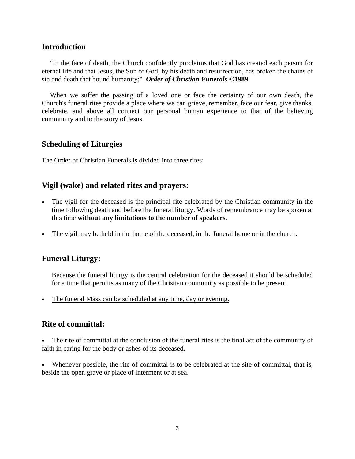#### **Introduction**

"In the face of death, the Church confidently proclaims that God has created each person for eternal life and that Jesus, the Son of God, by his death and resurrection, has broken the chains of sin and death that bound humanity;" *Order of Christian Funerals* **©1989** 

When we suffer the passing of a loved one or face the certainty of our own death, the Church's funeral rites provide a place where we can grieve, remember, face our fear, give thanks, celebrate, and above all connect our personal human experience to that of the believing community and to the story of Jesus.

#### **Scheduling of Liturgies**

The Order of Christian Funerals is divided into three rites:

#### **Vigil (wake) and related rites and prayers:**

- The vigil for the deceased is the principal rite celebrated by the Christian community in the time following death and before the funeral liturgy. Words of remembrance may be spoken at this time **without any limitations to the number of speakers**.
- The vigil may be held in the home of the deceased, in the funeral home or in the church.

#### **Funeral Liturgy:**

 Because the funeral liturgy is the central celebration for the deceased it should be scheduled for a time that permits as many of the Christian community as possible to be present.

• The funeral Mass can be scheduled at any time, day or evening.

#### **Rite of committal:**

The rite of committal at the conclusion of the funeral rites is the final act of the community of faith in caring for the body or ashes of its deceased.

• Whenever possible, the rite of committal is to be celebrated at the site of committal, that is, beside the open grave or place of interment or at sea.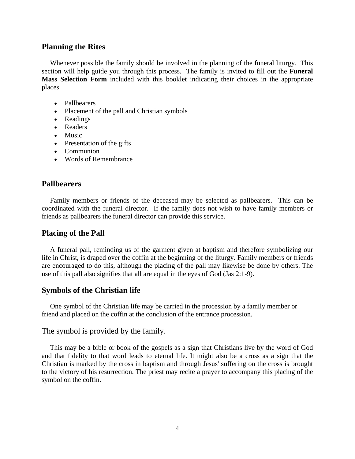#### **Planning the Rites**

Whenever possible the family should be involved in the planning of the funeral liturgy. This section will help guide you through this process. The family is invited to fill out the **Funeral Mass Selection Form** included with this booklet indicating their choices in the appropriate places.

- Pallbearers
- Placement of the pall and Christian symbols
- Readings
- Readers
- Music
- Presentation of the gifts
- Communion
- Words of Remembrance

#### **Pallbearers**

Family members or friends of the deceased may be selected as pallbearers. This can be coordinated with the funeral director. If the family does not wish to have family members or friends as pallbearers the funeral director can provide this service.

#### **Placing of the Pall**

A funeral pall, reminding us of the garment given at baptism and therefore symbolizing our life in Christ, is draped over the coffin at the beginning of the liturgy. Family members or friends are encouraged to do this, although the placing of the pall may likewise be done by others. The use of this pall also signifies that all are equal in the eyes of God (Jas 2:1-9).

#### **Symbols of the Christian life**

One symbol of the Christian life may be carried in the procession by a family member or friend and placed on the coffin at the conclusion of the entrance procession.

The symbol is provided by the family.

This may be a bible or book of the gospels as a sign that Christians live by the word of God and that fidelity to that word leads to eternal life. It might also be a cross as a sign that the Christian is marked by the cross in baptism and through Jesus' suffering on the cross is brought to the victory of his resurrection. The priest may recite a prayer to accompany this placing of the symbol on the coffin.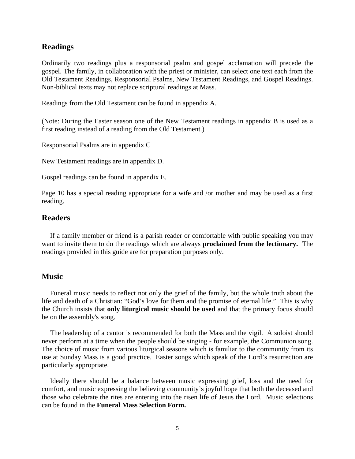#### **Readings**

Ordinarily two readings plus a responsorial psalm and gospel acclamation will precede the gospel. The family, in collaboration with the priest or minister, can select one text each from the Old Testament Readings, Responsorial Psalms, New Testament Readings, and Gospel Readings. Non-biblical texts may not replace scriptural readings at Mass.

Readings from the Old Testament can be found in appendix A.

(Note: During the Easter season one of the New Testament readings in appendix B is used as a first reading instead of a reading from the Old Testament.)

Responsorial Psalms are in appendix C

New Testament readings are in appendix D.

Gospel readings can be found in appendix E.

Page 10 has a special reading appropriate for a wife and /or mother and may be used as a first reading.

#### **Readers**

If a family member or friend is a parish reader or comfortable with public speaking you may want to invite them to do the readings which are always **proclaimed from the lectionary.** The readings provided in this guide are for preparation purposes only.

#### **Music**

Funeral music needs to reflect not only the grief of the family, but the whole truth about the life and death of a Christian: "God's love for them and the promise of eternal life." This is why the Church insists that **only liturgical music should be used** and that the primary focus should be on the assembly's song.

The leadership of a cantor is recommended for both the Mass and the vigil. A soloist should never perform at a time when the people should be singing - for example, the Communion song. The choice of music from various liturgical seasons which is familiar to the community from its use at Sunday Mass is a good practice. Easter songs which speak of the Lord's resurrection are particularly appropriate.

Ideally there should be a balance between music expressing grief, loss and the need for comfort, and music expressing the believing community's joyful hope that both the deceased and those who celebrate the rites are entering into the risen life of Jesus the Lord. Music selections can be found in the **Funeral Mass Selection Form.**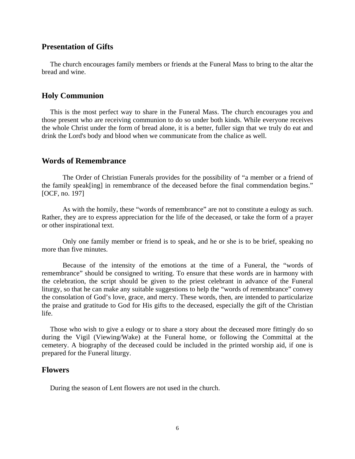#### **Presentation of Gifts**

The church encourages family members or friends at the Funeral Mass to bring to the altar the bread and wine.

#### **Holy Communion**

This is the most perfect way to share in the Funeral Mass. The church encourages you and those present who are receiving communion to do so under both kinds. While everyone receives the whole Christ under the form of bread alone, it is a better, fuller sign that we truly do eat and drink the Lord's body and blood when we communicate from the chalice as well.

#### **Words of Remembrance**

The Order of Christian Funerals provides for the possibility of "a member or a friend of the family speak[ing] in remembrance of the deceased before the final commendation begins." [OCF, no. 197]

As with the homily, these "words of remembrance" are not to constitute a eulogy as such. Rather, they are to express appreciation for the life of the deceased, or take the form of a prayer or other inspirational text.

Only one family member or friend is to speak, and he or she is to be brief, speaking no more than five minutes.

Because of the intensity of the emotions at the time of a Funeral, the "words of remembrance" should be consigned to writing. To ensure that these words are in harmony with the celebration, the script should be given to the priest celebrant in advance of the Funeral liturgy, so that he can make any suitable suggestions to help the "words of remembrance" convey the consolation of God's love, grace, and mercy. These words, then, are intended to particularize the praise and gratitude to God for His gifts to the deceased, especially the gift of the Christian life.

Those who wish to give a eulogy or to share a story about the deceased more fittingly do so during the Vigil (Viewing/Wake) at the Funeral home, or following the Committal at the cemetery. A biography of the deceased could be included in the printed worship aid, if one is prepared for the Funeral liturgy.

#### **Flowers**

During the season of Lent flowers are not used in the church.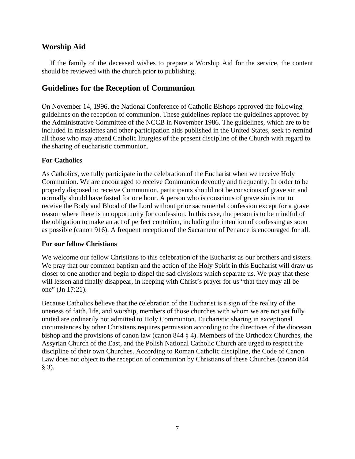#### **Worship Aid**

If the family of the deceased wishes to prepare a Worship Aid for the service, the content should be reviewed with the church prior to publishing.

#### **Guidelines for the Reception of Communion**

On November 14, 1996, the National Conference of Catholic Bishops approved the following guidelines on the reception of communion. These guidelines replace the guidelines approved by the Administrative Committee of the NCCB in November 1986. The guidelines, which are to be included in missalettes and other participation aids published in the United States, seek to remind all those who may attend Catholic liturgies of the present discipline of the Church with regard to the sharing of eucharistic communion.

#### **For Catholics**

As Catholics, we fully participate in the celebration of the Eucharist when we receive Holy Communion. We are encouraged to receive Communion devoutly and frequently. In order to be properly disposed to receive Communion, participants should not be conscious of grave sin and normally should have fasted for one hour. A person who is conscious of grave sin is not to receive the Body and Blood of the Lord without prior sacramental confession except for a grave reason where there is no opportunity for confession. In this case, the person is to be mindful of the obligation to make an act of perfect contrition, including the intention of confessing as soon as possible (canon 916). A frequent reception of the Sacrament of Penance is encouraged for all.

#### **For our fellow Christians**

We welcome our fellow Christians to this celebration of the Eucharist as our brothers and sisters. We pray that our common baptism and the action of the Holy Spirit in this Eucharist will draw us closer to one another and begin to dispel the sad divisions which separate us. We pray that these will lessen and finally disappear, in keeping with Christ's prayer for us "that they may all be one" (Jn 17:21).

Because Catholics believe that the celebration of the Eucharist is a sign of the reality of the oneness of faith, life, and worship, members of those churches with whom we are not yet fully united are ordinarily not admitted to Holy Communion. Eucharistic sharing in exceptional circumstances by other Christians requires permission according to the directives of the diocesan bishop and the provisions of canon law (canon 844 § 4). Members of the Orthodox Churches, the Assyrian Church of the East, and the Polish National Catholic Church are urged to respect the discipline of their own Churches. According to Roman Catholic discipline, the Code of Canon Law does not object to the reception of communion by Christians of these Churches (canon 844  $§ 3).$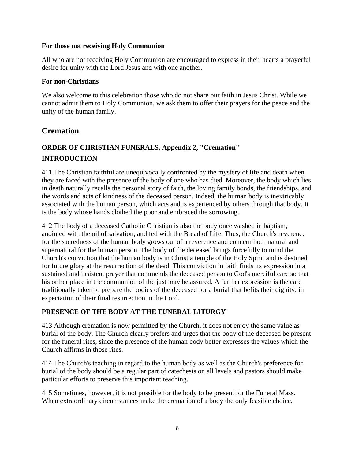#### **For those not receiving Holy Communion**

All who are not receiving Holy Communion are encouraged to express in their hearts a prayerful desire for unity with the Lord Jesus and with one another.

#### **For non-Christians**

We also welcome to this celebration those who do not share our faith in Jesus Christ. While we cannot admit them to Holy Communion, we ask them to offer their prayers for the peace and the unity of the human family.

#### **Cremation**

#### **ORDER OF CHRISTIAN FUNERALS, Appendix 2, "Cremation" INTRODUCTION**

411 The Christian faithful are unequivocally confronted by the mystery of life and death when they are faced with the presence of the body of one who has died. Moreover, the body which lies in death naturally recalls the personal story of faith, the loving family bonds, the friendships, and the words and acts of kindness of the deceased person. Indeed, the human body is inextricably associated with the human person, which acts and is experienced by others through that body. It is the body whose hands clothed the poor and embraced the sorrowing.

412 The body of a deceased Catholic Christian is also the body once washed in baptism, anointed with the oil of salvation, and fed with the Bread of Life. Thus, the Church's reverence for the sacredness of the human body grows out of a reverence and concern both natural and supernatural for the human person. The body of the deceased brings forcefully to mind the Church's conviction that the human body is in Christ a temple of the Holy Spirit and is destined for future glory at the resurrection of the dead. This conviction in faith finds its expression in a sustained and insistent prayer that commends the deceased person to God's merciful care so that his or her place in the communion of the just may be assured. A further expression is the care traditionally taken to prepare the bodies of the deceased for a burial that befits their dignity, in expectation of their final resurrection in the Lord.

#### **PRESENCE OF THE BODY AT THE FUNERAL LITURGY**

413 Although cremation is now permitted by the Church, it does not enjoy the same value as burial of the body. The Church clearly prefers and urges that the body of the deceased be present for the funeral rites, since the presence of the human body better expresses the values which the Church affirms in those rites.

414 The Church's teaching in regard to the human body as well as the Church's preference for burial of the body should be a regular part of catechesis on all levels and pastors should make particular efforts to preserve this important teaching.

415 Sometimes, however, it is not possible for the body to be present for the Funeral Mass. When extraordinary circumstances make the cremation of a body the only feasible choice,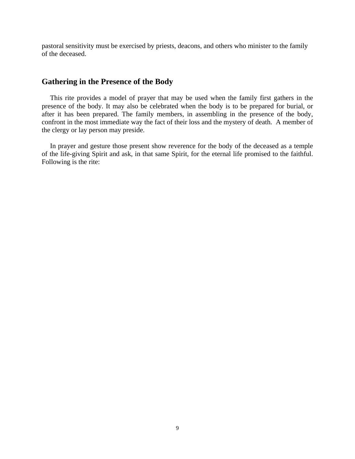pastoral sensitivity must be exercised by priests, deacons, and others who minister to the family of the deceased.

#### **Gathering in the Presence of the Body**

This rite provides a model of prayer that may be used when the family first gathers in the presence of the body. It may also be celebrated when the body is to be prepared for burial, or after it has been prepared. The family members, in assembling in the presence of the body, confront in the most immediate way the fact of their loss and the mystery of death. A member of the clergy or lay person may preside.

In prayer and gesture those present show reverence for the body of the deceased as a temple of the life-giving Spirit and ask, in that same Spirit, for the eternal life promised to the faithful. Following is the rite: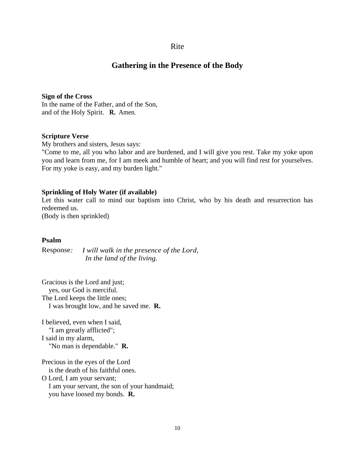#### Rite

#### **Gathering in the Presence of the Body**

**Sign of the Cross**  In the name of the Father, and of the Son, and of the Holy Spirit. **R.** Amen.

#### **Scripture Verse**

My brothers and sisters, Jesus says:

"Come to me, all you who labor and are burdened, and I will give you rest. Take my yoke upon you and learn from me, for I am meek and humble of heart; and you will find rest for yourselves. For my yoke is easy, and my burden light."

#### **Sprinkling of Holy Water (if available)**

Let this water call to mind our baptism into Christ, who by his death and resurrection has redeemed us.

(Body is then sprinkled)

#### **Psalm**

Response*: I will walk in the presence of the Lord, In the land of the living.* 

Gracious is the Lord and just; yes, our God is merciful. The Lord keeps the little ones; I was brought low, and he saved me. **R.** 

I believed, even when I said, "I am greatly afflicted"; I said in my alarm, "No man is dependable." **R.** 

Precious in the eyes of the Lord is the death of his faithful ones. O Lord, I am your servant; I am your servant, the son of your handmaid; you have loosed my bonds. **R.**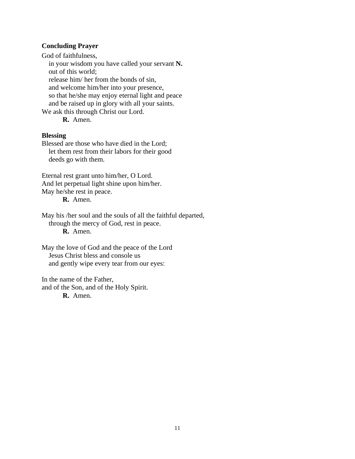#### **Concluding Prayer**

God of faithfulness, in your wisdom you have called your servant **N.** out of this world; release him/ her from the bonds of sin, and welcome him/her into your presence, so that he/she may enjoy eternal light and peace and be raised up in glory with all your saints. We ask this through Christ our Lord.

**R.** Amen.

#### **Blessing**

Blessed are those who have died in the Lord; let them rest from their labors for their good deeds go with them.

Eternal rest grant unto him/her, O Lord. And let perpetual light shine upon him/her. May he/she rest in peace.

**R.** Amen.

May his /her soul and the souls of all the faithful departed, through the mercy of God, rest in peace. **R.** Amen.

May the love of God and the peace of the Lord Jesus Christ bless and console us and gently wipe every tear from our eyes:

In the name of the Father, and of the Son, and of the Holy Spirit. **R.** Amen.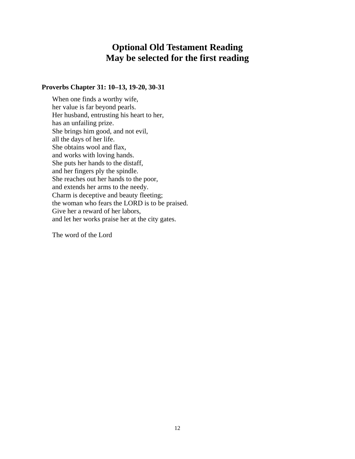#### **Optional Old Testament Reading May be selected for the first reading**

#### **Proverbs Chapter 31: 10–13, 19-20, 30-31**

When one finds a worthy wife, her value is far beyond pearls. Her husband, entrusting his heart to her, has an unfailing prize. She brings him good, and not evil, all the days of her life. She obtains wool and flax, and works with loving hands. She puts her hands to the distaff, and her fingers ply the spindle. She reaches out her hands to the poor, and extends her arms to the needy. Charm is deceptive and beauty fleeting; the woman who fears the LORD is to be praised. Give her a reward of her labors, and let her works praise her at the city gates.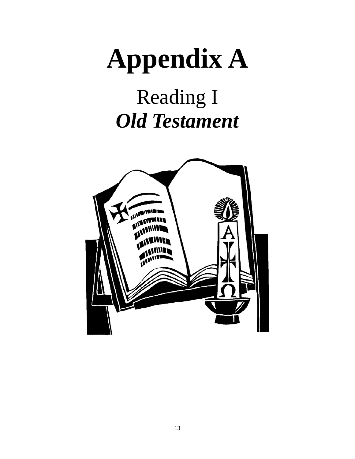# **Appendix A**  Reading I

### *Old Testament*

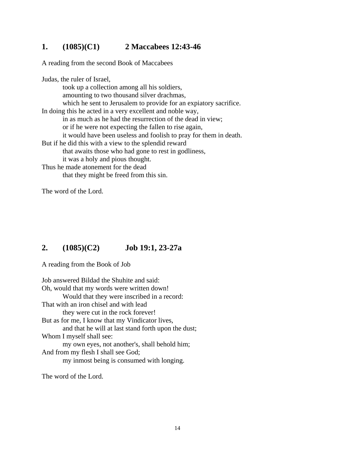#### **1. (1085)(C1) 2 Maccabees 12:43-46**

A reading from the second Book of Maccabees Judas, the ruler of Israel, took up a collection among all his soldiers, amounting to two thousand silver drachmas, which he sent to Jerusalem to provide for an expiatory sacrifice. In doing this he acted in a very excellent and noble way, in as much as he had the resurrection of the dead in view; or if he were not expecting the fallen to rise again, it would have been useless and foolish to pray for them in death. But if he did this with a view to the splendid reward that awaits those who had gone to rest in godliness, it was a holy and pious thought. Thus he made atonement for the dead that they might be freed from this sin.

The word of the Lord.

#### **2. (1085)(C2) Job 19:1, 23-27a**

A reading from the Book of Job

Job answered Bildad the Shuhite and said: Oh, would that my words were written down! Would that they were inscribed in a record: That with an iron chisel and with lead they were cut in the rock forever! But as for me, I know that my Vindicator lives, and that he will at last stand forth upon the dust; Whom I myself shall see: my own eyes, not another's, shall behold him; And from my flesh I shall see God; my inmost being is consumed with longing.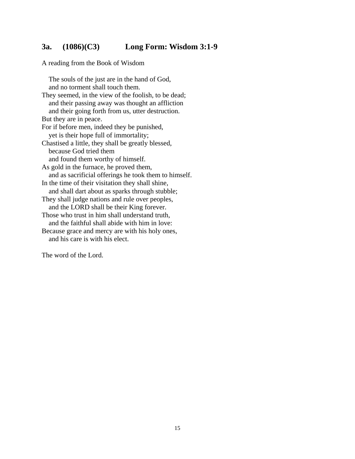#### **3a. (1086)(C3) Long Form: Wisdom 3:1-9**

A reading from the Book of Wisdom

 The souls of the just are in the hand of God, and no torment shall touch them. They seemed, in the view of the foolish, to be dead; and their passing away was thought an affliction and their going forth from us, utter destruction. But they are in peace. For if before men, indeed they be punished, yet is their hope full of immortality; Chastised a little, they shall be greatly blessed, because God tried them and found them worthy of himself. As gold in the furnace, he proved them, and as sacrificial offerings he took them to himself. In the time of their visitation they shall shine, and shall dart about as sparks through stubble; They shall judge nations and rule over peoples, and the LORD shall be their King forever. Those who trust in him shall understand truth, and the faithful shall abide with him in love: Because grace and mercy are with his holy ones, and his care is with his elect.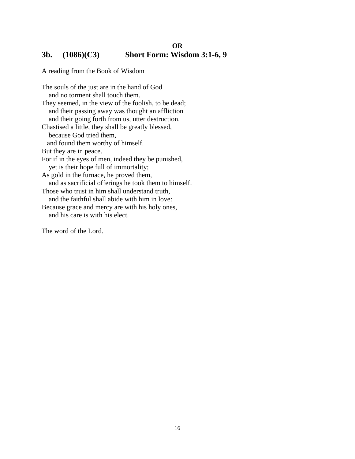#### **OR 3b. (1086)(C3) Short Form: Wisdom 3:1-6, 9**

A reading from the Book of Wisdom

The souls of the just are in the hand of God and no torment shall touch them. They seemed, in the view of the foolish, to be dead; and their passing away was thought an affliction and their going forth from us, utter destruction. Chastised a little, they shall be greatly blessed, because God tried them, and found them worthy of himself. But they are in peace. For if in the eyes of men, indeed they be punished, yet is their hope full of immortality; As gold in the furnace, he proved them, and as sacrificial offerings he took them to himself. Those who trust in him shall understand truth, and the faithful shall abide with him in love: Because grace and mercy are with his holy ones, and his care is with his elect.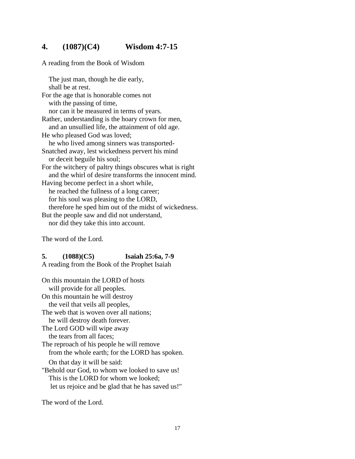#### **4. (1087)(C4) Wisdom 4:7-15**

A reading from the Book of Wisdom

 The just man, though he die early, shall be at rest. For the age that is honorable comes not with the passing of time, nor can it be measured in terms of years. Rather, understanding is the hoary crown for men, and an unsullied life, the attainment of old age. He who pleased God was loved; he who lived among sinners was transported-Snatched away, lest wickedness pervert his mind or deceit beguile his soul; For the witchery of paltry things obscures what is right and the whirl of desire transforms the innocent mind. Having become perfect in a short while, he reached the fullness of a long career; for his soul was pleasing to the LORD, therefore he sped him out of the midst of wickedness. But the people saw and did not understand, nor did they take this into account.

The word of the Lord.

#### **5. (1088)(C5) Isaiah 25:6a, 7-9**

A reading from the Book of the Prophet Isaiah

On this mountain the LORD of hosts will provide for all peoples. On this mountain he will destroy the veil that veils all peoples, The web that is woven over all nations; he will destroy death forever. The Lord GOD will wipe away the tears from all faces; The reproach of his people he will remove from the whole earth; for the LORD has spoken. On that day it will be said: "Behold our God, to whom we looked to save us! This is the LORD for whom we looked;

let us rejoice and be glad that he has saved us!"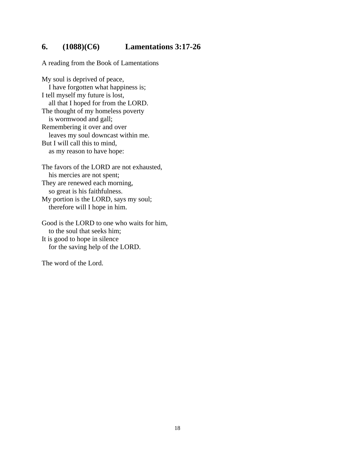#### **6. (1088)(C6) Lamentations 3:17-26**

A reading from the Book of Lamentations

My soul is deprived of peace, I have forgotten what happiness is; I tell myself my future is lost, all that I hoped for from the LORD. The thought of my homeless poverty is wormwood and gall; Remembering it over and over leaves my soul downcast within me. But I will call this to mind, as my reason to have hope:

The favors of the LORD are not exhausted, his mercies are not spent; They are renewed each morning, so great is his faithfulness. My portion is the LORD, says my soul; therefore will I hope in him.

Good is the LORD to one who waits for him, to the soul that seeks him; It is good to hope in silence for the saving help of the LORD.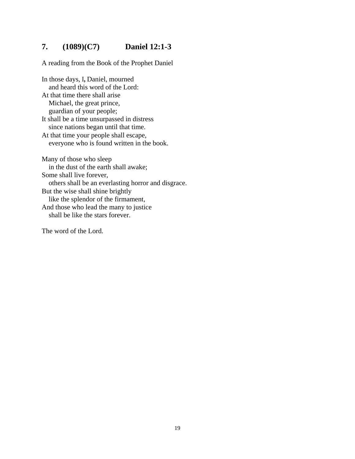#### **7. (1089)(C7) Daniel 12:1-3**

A reading from the Book of the Prophet Daniel

In those days, I**,** Daniel, mourned and heard this word of the Lord: At that time there shall arise Michael, the great prince, guardian of your people; It shall be a time unsurpassed in distress since nations began until that time. At that time your people shall escape, everyone who is found written in the book.

Many of those who sleep in the dust of the earth shall awake; Some shall live forever, others shall be an everlasting horror and disgrace. But the wise shall shine brightly like the splendor of the firmament, And those who lead the many to justice shall be like the stars forever.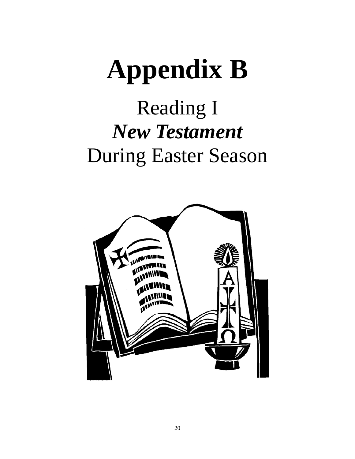## **Appendix B**

## Reading I *New Testament*  During Easter Season

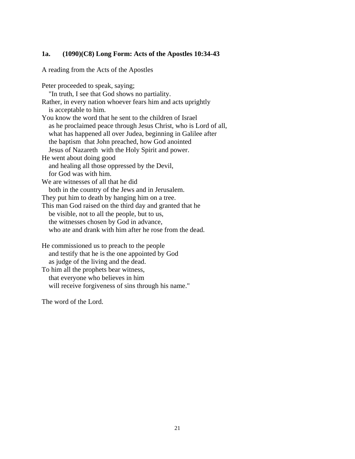#### **1a. (1090)(C8) Long Form: Acts of the Apostles 10:34-43**

A reading from the Acts of the Apostles

Peter proceeded to speak, saying; "In truth, I see that God shows no partiality. Rather, in every nation whoever fears him and acts uprightly is acceptable to him. You know the word that he sent to the children of Israel as he proclaimed peace through Jesus Christ, who is Lord of all, what has happened all over Judea, beginning in Galilee after the baptism that John preached, how God anointed Jesus of Nazareth with the Holy Spirit and power. He went about doing good and healing all those oppressed by the Devil, for God was with him. We are witnesses of all that he did both in the country of the Jews and in Jerusalem. They put him to death by hanging him on a tree. This man God raised on the third day and granted that he be visible, not to all the people, but to us, the witnesses chosen by God in advance, who ate and drank with him after he rose from the dead. He commissioned us to preach to the people and testify that he is the one appointed by God as judge of the living and the dead. To him all the prophets bear witness,

 that everyone who believes in him will receive forgiveness of sins through his name."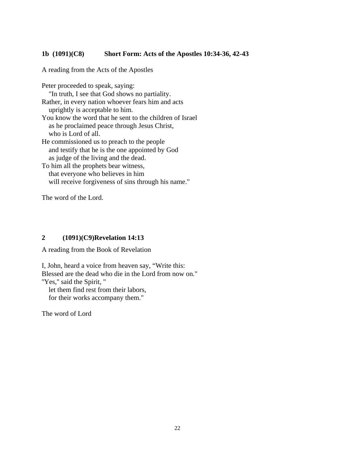#### **1b (1091)(C8) Short Form: Acts of the Apostles 10:34-36, 42-43**

A reading from the Acts of the Apostles

Peter proceeded to speak, saying: "In truth, I see that God shows no partiality. Rather, in every nation whoever fears him and acts uprightly is acceptable to him. You know the word that he sent to the children of Israel as he proclaimed peace through Jesus Christ, who is Lord of all. He commissioned us to preach to the people and testify that he is the one appointed by God as judge of the living and the dead. To him all the prophets bear witness, that everyone who believes in him

will receive forgiveness of sins through his name."

The word of the Lord.

#### **2 (1091)(C9)Revelation 14:13**

A reading from the Book of Revelation

I, John, heard a voice from heaven say, "Write this: Blessed are the dead who die in the Lord from now on." ''Yes,'' said the Spirit, " let them find rest from their labors, for their works accompany them."

The word of Lord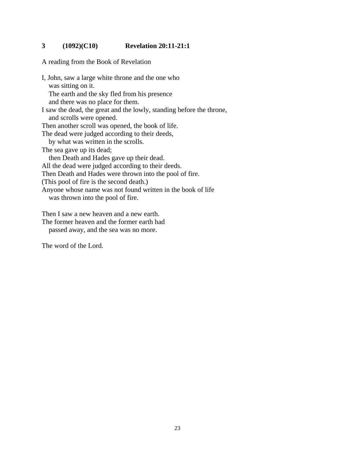#### **3 (1092)(C10) Revelation 20:11-21:1**

A reading from the Book of Revelation

I, John, saw a large white throne and the one who was sitting on it. The earth and the sky fled from his presence and there was no place for them. I saw the dead, the great and the lowly, standing before the throne, and scrolls were opened. Then another scroll was opened, the book of life. The dead were judged according to their deeds, by what was written in the scrolls. The sea gave up its dead; then Death and Hades gave up their dead. All the dead were judged according to their deeds. Then Death and Hades were thrown into the pool of fire. (This pool of fire is the second death.) Anyone whose name was not found written in the book of life was thrown into the pool of fire. Then I saw a new heaven and a new earth.

The former heaven and the former earth had passed away, and the sea was no more.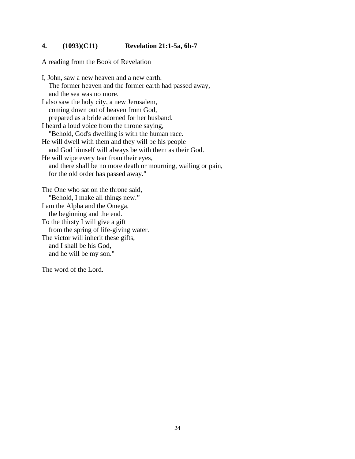#### **4. (1093)(C11) Revelation 21:1-5a, 6b-7**

A reading from the Book of Revelation

I, John, saw a new heaven and a new earth. The former heaven and the former earth had passed away, and the sea was no more. I also saw the holy city, a new Jerusalem, coming down out of heaven from God, prepared as a bride adorned for her husband. I heard a loud voice from the throne saying, "Behold, God's dwelling is with the human race. He will dwell with them and they will be his people and God himself will always be with them as their God. He will wipe every tear from their eyes, and there shall be no more death or mourning, wailing or pain, for the old order has passed away." The One who sat on the throne said, "Behold, I make all things new." I am the Alpha and the Omega, the beginning and the end. To the thirsty I will give a gift from the spring of life-giving water. The victor will inherit these gifts,

 and I shall be his God, and he will be my son."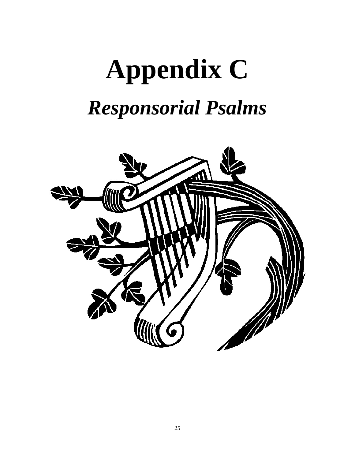## **Appendix C**  *Responsorial Psalms*

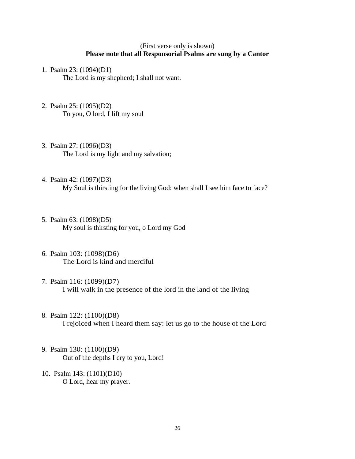#### (First verse only is shown) **Please note that all Responsorial Psalms are sung by a Cantor**

- 1. Psalm 23: (1094)(D1) The Lord is my shepherd; I shall not want.
- 2. Psalm 25: (1095)(D2) To you, O lord, I lift my soul
- 3. Psalm 27: (1096)(D3) The Lord is my light and my salvation;
- 4. Psalm 42: (1097)(D3) My Soul is thirsting for the living God: when shall I see him face to face?
- 5. Psalm 63: (1098)(D5) My soul is thirsting for you, o Lord my God
- 6. Psalm 103: (1098)(D6) The Lord is kind and merciful
- 7. Psalm 116: (1099)(D7) I will walk in the presence of the lord in the land of the living
- 8. Psalm 122: (1100)(D8) I rejoiced when I heard them say: let us go to the house of the Lord
- 9. Psalm 130: (1100)(D9) Out of the depths I cry to you, Lord!
- 10. Psalm 143: (1101)(D10) O Lord, hear my prayer.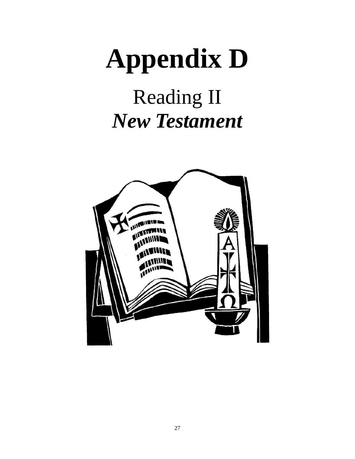# **Appendix D**

## Reading II *New Testament*

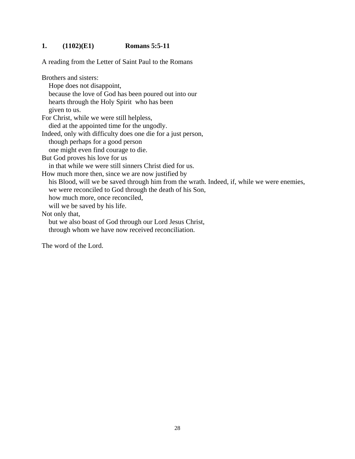#### **1. (1102)(E1) Romans 5:5-11**

A reading from the Letter of Saint Paul to the Romans

Brothers and sisters: Hope does not disappoint, because the love of God has been poured out into our hearts through the Holy Spirit who has been given to us. For Christ, while we were still helpless, died at the appointed time for the ungodly. Indeed, only with difficulty does one die for a just person, though perhaps for a good person one might even find courage to die. But God proves his love for us in that while we were still sinners Christ died for us. How much more then, since we are now justified by his Blood, will we be saved through him from the wrath. Indeed, if, while we were enemies, we were reconciled to God through the death of his Son, how much more, once reconciled, will we be saved by his life. Not only that, but we also boast of God through our Lord Jesus Christ, through whom we have now received reconciliation.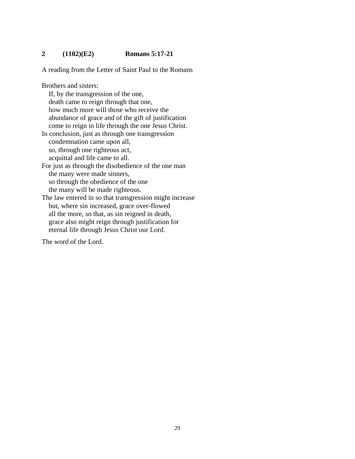#### **2 (1102)(E2) Romans 5:17-21**

A reading from the Letter of Saint Paul to the Romans

Brothers and sisters: If, by the transgression of the one, death came to reign through that one, how much more will those who receive the abundance of grace and of the gift of justification come to reign in life through the one Jesus Christ. In conclusion, just as through one transgression condemnation came upon all, so, through one righteous act, acquittal and life came to all. For just as through the disobedience of the one man the many were made sinners, so through the obedience of the one the many will be made righteous. The law entered in so that transgression might increase but, where sin increased, grace over-flowed all the more, so that, as sin reigned in death, grace also might reign through justification for eternal life through Jesus Christ our Lord.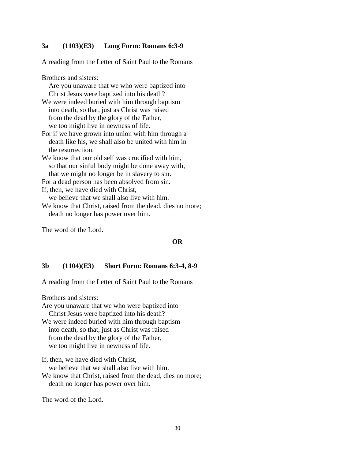#### **3a (1103)(E3) Long Form: Romans 6:3-9**

A reading from the Letter of Saint Paul to the Romans

Brothers and sisters: Are you unaware that we who were baptized into Christ Jesus were baptized into his death? We were indeed buried with him through baptism into death, so that, just as Christ was raised from the dead by the glory of the Father, we too might live in newness of life. For if we have grown into union with him through a death like his, we shall also be united with him in the resurrection. We know that our old self was crucified with him. so that our sinful body might be done away with, that we might no longer be in slavery to sin. For a dead person has been absolved from sin. If, then, we have died with Christ, we believe that we shall also live with him. We know that Christ, raised from the dead, dies no more; death no longer has power over him.

The word of the Lord.

#### **OR**

#### **3b (1104)(E3) Short Form: Romans 6:3-4, 8-9**

A reading from the Letter of Saint Paul to the Romans

Brothers and sisters:

- Are you unaware that we who were baptized into Christ Jesus were baptized into his death? We were indeed buried with him through baptism
- into death, so that, just as Christ was raised from the dead by the glory of the Father, we too might live in newness of life.

If, then, we have died with Christ,

we believe that we shall also live with him.

We know that Christ, raised from the dead, dies no more; death no longer has power over him.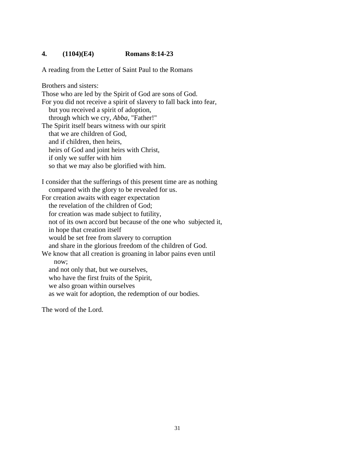#### **4. (1104)(E4) Romans 8:14-23**

A reading from the Letter of Saint Paul to the Romans

Brothers and sisters: Those who are led by the Spirit of God are sons of God. For you did not receive a spirit of slavery to fall back into fear, but you received a spirit of adoption, through which we cry, *Abba,* "Father!" The Spirit itself bears witness with our spirit that we are children of God, and if children, then heirs, heirs of God and joint heirs with Christ, if only we suffer with him so that we may also be glorified with him. I consider that the sufferings of this present time are as nothing compared with the glory to be revealed for us. For creation awaits with eager expectation the revelation of the children of God; for creation was made subject to futility, not of its own accord but because of the one who subjected it, in hope that creation itself would be set free from slavery to corruption and share in the glorious freedom of the children of God. We know that all creation is groaning in labor pains even until now; and not only that, but we ourselves, who have the first fruits of the Spirit, we also groan within ourselves as we wait for adoption, the redemption of our bodies.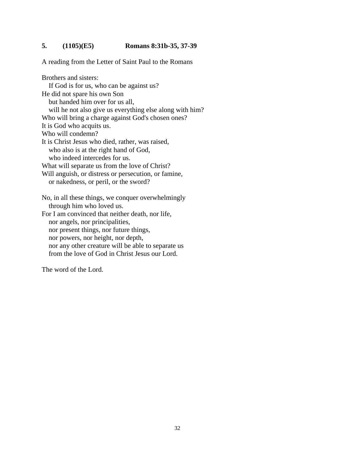#### **5. (1105)(E5) Romans 8:31b-35, 37-39**

A reading from the Letter of Saint Paul to the Romans

Brothers and sisters: If God is for us, who can be against us? He did not spare his own Son but handed him over for us all, will he not also give us everything else along with him? Who will bring a charge against God's chosen ones? It is God who acquits us. Who will condemn? It is Christ Jesus who died, rather, was raised, who also is at the right hand of God, who indeed intercedes for us. What will separate us from the love of Christ? Will anguish, or distress or persecution, or famine, or nakedness, or peril, or the sword? No, in all these things, we conquer overwhelmingly through him who loved us. For I am convinced that neither death, nor life, nor angels, nor principalities, nor present things, nor future things, nor powers, nor height, nor depth, nor any other creature will be able to separate us from the love of God in Christ Jesus our Lord.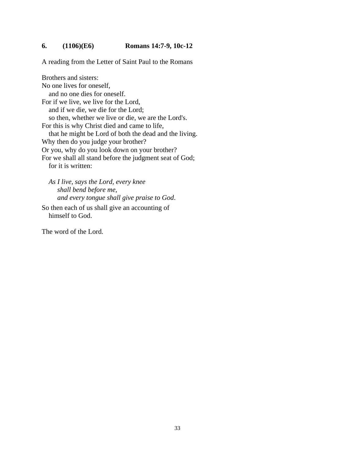#### **6. (1106)(E6) Romans 14:7-9, 10c-12**

A reading from the Letter of Saint Paul to the Romans

Brothers and sisters: No one lives for oneself, and no one dies for oneself. For if we live, we live for the Lord, and if we die, we die for the Lord; so then, whether we live or die, we are the Lord's. For this is why Christ died and came to life, that he might be Lord of both the dead and the living. Why then do you judge your brother? Or you, why do you look down on your brother? For we shall all stand before the judgment seat of God; for it is written:

 *As I live, says the Lord, every knee shall bend before me, and every tongue shall give praise to God*.

So then each of us shall give an accounting of himself to God.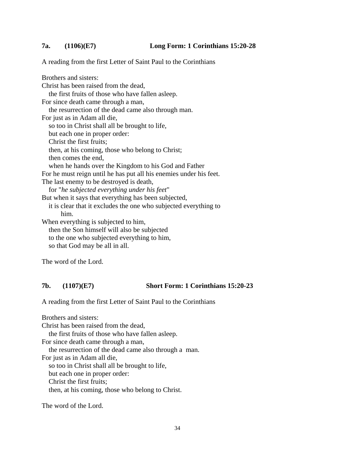A reading from the first Letter of Saint Paul to the Corinthians

Brothers and sisters: Christ has been raised from the dead, the first fruits of those who have fallen asleep. For since death came through a man, the resurrection of the dead came also through man. For just as in Adam all die, so too in Christ shall all be brought to life, but each one in proper order: Christ the first fruits; then, at his coming, those who belong to Christ; then comes the end, when he hands over the Kingdom to his God and Father For he must reign until he has put all his enemies under his feet. The last enemy to be destroyed is death, for "*he subjected everything under his feet*" But when it says that everything has been subjected, it is clear that it excludes the one who subjected everything to him. When everything is subjected to him, then the Son himself will also be subjected to the one who subjected everything to him, so that God may be all in all.

The word of the Lord.

#### **7b. (1107)(E7) Short Form: 1 Corinthians 15:20-23**

A reading from the first Letter of Saint Paul to the Corinthians

Brothers and sisters: Christ has been raised from the dead, the first fruits of those who have fallen asleep. For since death came through a man, the resurrection of the dead came also through a man. For just as in Adam all die, so too in Christ shall all be brought to life, but each one in proper order: Christ the first fruits; then, at his coming, those who belong to Christ.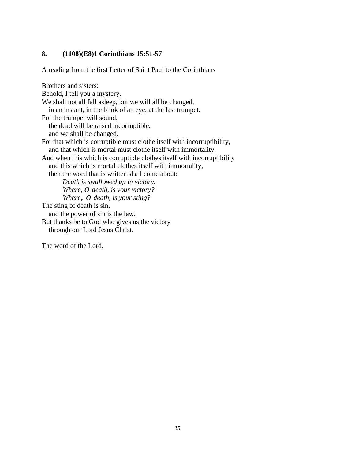#### **8. (1108)(E8)1 Corinthians 15:51-57**

A reading from the first Letter of Saint Paul to the Corinthians

Brothers and sisters: Behold, I tell you a mystery. We shall not all fall asleep, but we will all be changed, in an instant, in the blink of an eye, at the last trumpet. For the trumpet will sound, the dead will be raised incorruptible, and we shall be changed. For that which is corruptible must clothe itself with incorruptibility, and that which is mortal must clothe itself with immortality. And when this which is corruptible clothes itself with incorruptibility and this which is mortal clothes itself with immortality, then the word that is written shall come about: *Death is swallowed up in victory. Where, 0 death, is your victory? Where*, *0 death, is your sting?*  The sting of death is sin, and the power of sin is the law. But thanks be to God who gives us the victory through our Lord Jesus Christ.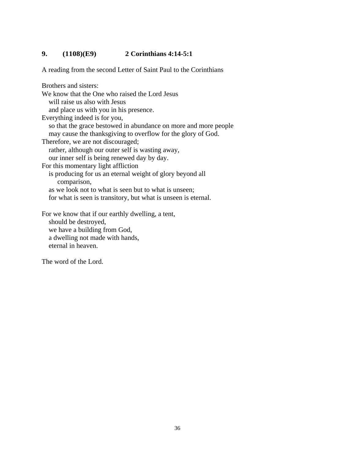#### **9. (1108)(E9) 2 Corinthians 4:14-5:1**

A reading from the second Letter of Saint Paul to the Corinthians

Brothers and sisters: We know that the One who raised the Lord Jesus will raise us also with Jesus and place us with you in his presence. Everything indeed is for you, so that the grace bestowed in abundance on more and more people may cause the thanksgiving to overflow for the glory of God. Therefore, we are not discouraged; rather, although our outer self is wasting away, our inner self is being renewed day by day. For this momentary light affliction is producing for us an eternal weight of glory beyond all comparison, as we look not to what is seen but to what is unseen; for what is seen is transitory, but what is unseen is eternal. For we know that if our earthly dwelling, a tent, should be destroyed, we have a building from God, a dwelling not made with hands, eternal in heaven.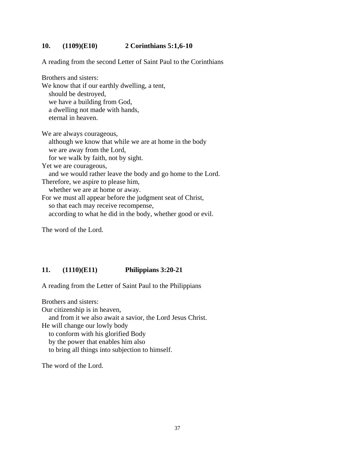#### **10. (1109)(E10) 2 Corinthians 5:1,6-10**

A reading from the second Letter of Saint Paul to the Corinthians

Brothers and sisters: We know that if our earthly dwelling, a tent, should be destroyed, we have a building from God, a dwelling not made with hands, eternal in heaven. We are always courageous, although we know that while we are at home in the body we are away from the Lord, for we walk by faith, not by sight. Yet we are courageous, and we would rather leave the body and go home to the Lord. Therefore, we aspire to please him, whether we are at home or away. For we must all appear before the judgment seat of Christ, so that each may receive recompense, according to what he did in the body, whether good or evil.

The word of the Lord.

#### **11. (1110)(E11) Philippians 3:20-21**

A reading from the Letter of Saint Paul to the Philippians

Brothers and sisters: Our citizenship is in heaven, and from it we also await a savior, the Lord Jesus Christ. He will change our lowly body to conform with his glorified Body by the power that enables him also to bring all things into subjection to himself.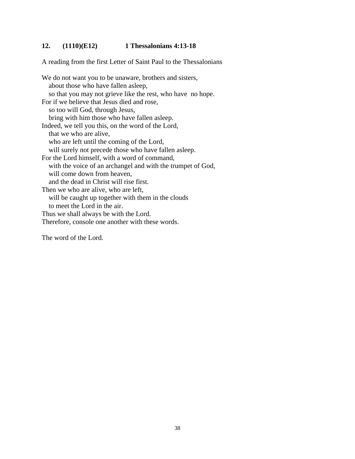#### **12. (1110)(E12) 1 Thessalonians 4:13-18**

A reading from the first Letter of Saint Paul to the Thessalonians

We do not want you to be unaware, brothers and sisters, about those who have fallen asleep, so that you may not grieve like the rest, who have no hope. For if we believe that Jesus died and rose, so too will God, through Jesus, bring with him those who have fallen asleep. Indeed, we tell you this, on the word of the Lord, that we who are alive, who are left until the coming of the Lord, will surely not precede those who have fallen asleep. For the Lord himself, with a word of command, with the voice of an archangel and with the trumpet of God, will come down from heaven, and the dead in Christ will rise first. Then we who are alive, who are left. will be caught up together with them in the clouds to meet the Lord in the air. Thus we shall always be with the Lord. Therefore, console one another with these words.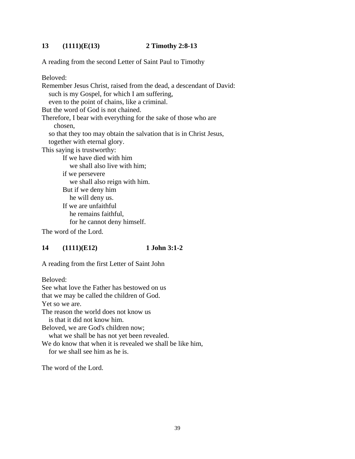#### **13 (1111)(E(13) 2 Timothy 2:8-13**

A reading from the second Letter of Saint Paul to Timothy

Beloved: Remember Jesus Christ, raised from the dead, a descendant of David: such is my Gospel, for which I am suffering, even to the point of chains, like a criminal. But the word of God is not chained. Therefore, I bear with everything for the sake of those who are chosen, so that they too may obtain the salvation that is in Christ Jesus, together with eternal glory. This saying is trustworthy: If we have died with him we shall also live with him; if we persevere we shall also reign with him. But if we deny him he will deny us. If we are unfaithful he remains faithful, for he cannot deny himself. The word of the Lord. **14 (1111)(E12) 1 John 3:1-2** 

A reading from the first Letter of Saint John

See what love the Father has bestowed on us that we may be called the children of God. Yet so we are. The reason the world does not know us is that it did not know him. Beloved, we are God's children now; what we shall be has not yet been revealed. We do know that when it is revealed we shall be like him, for we shall see him as he is.

The word of the Lord.

Beloved: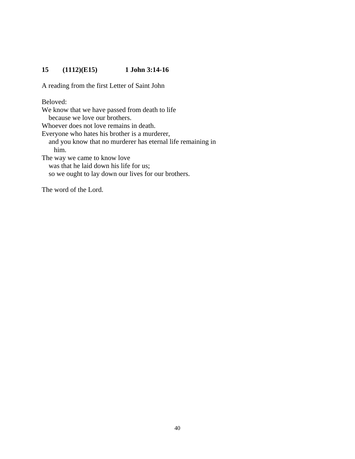#### **15 (1112)(E15) 1 John 3:14-16**

A reading from the first Letter of Saint John

Beloved: We know that we have passed from death to life because we love our brothers. Whoever does not love remains in death. Everyone who hates his brother is a murderer, and you know that no murderer has eternal life remaining in him. The way we came to know love was that he laid down his life for us; so we ought to lay down our lives for our brothers.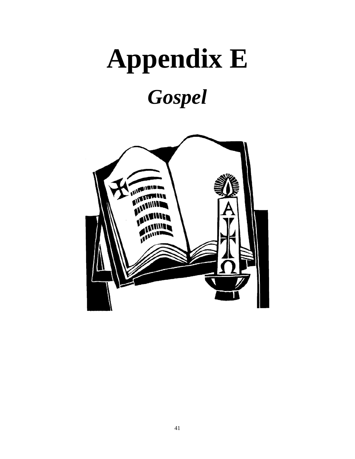## **Appendix E**

### *Gospel*

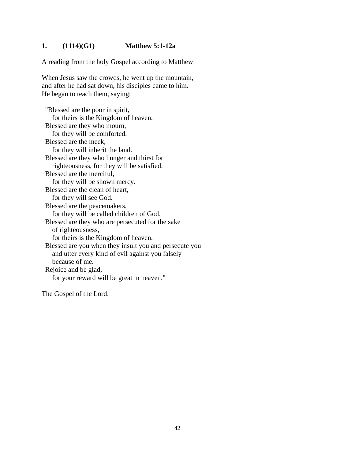#### **1. (1114)(G1) Matthew 5:1-12a**

A reading from the holy Gospel according to Matthew

When Jesus saw the crowds, he went up the mountain, and after he had sat down, his disciples came to him. He began to teach them, saying:

 "Blessed are the poor in spirit, for theirs is the Kingdom of heaven. Blessed are they who mourn, for they will be comforted. Blessed are the meek, for they will inherit the land. Blessed are they who hunger and thirst for righteousness, for they will be satisfied. Blessed are the merciful, for they will be shown mercy. Blessed are the clean of heart, for they will see God. Blessed are the peacemakers, for they will be called children of God. Blessed are they who are persecuted for the sake of righteousness, for theirs is the Kingdom of heaven. Blessed are you when they insult you and persecute you and utter every kind of evil against you falsely because of me. Rejoice and be glad, for your reward will be great in heaven."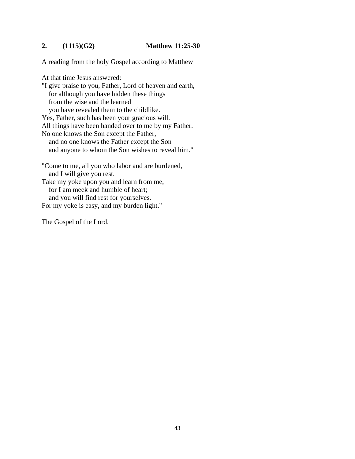#### **2. (1115)(G2) Matthew 11:25-30**

A reading from the holy Gospel according to Matthew

At that time Jesus answered: "I give praise to you, Father, Lord of heaven and earth, for although you have hidden these things from the wise and the learned you have revealed them to the childlike. Yes, Father, such has been your gracious will. All things have been handed over to me by my Father. No one knows the Son except the Father, and no one knows the Father except the Son and anyone to whom the Son wishes to reveal him."

"Come to me, all you who labor and are burdened, and I will give you rest. Take my yoke upon you and learn from me, for I am meek and humble of heart;

and you will find rest for yourselves.

For my yoke is easy, and my burden light."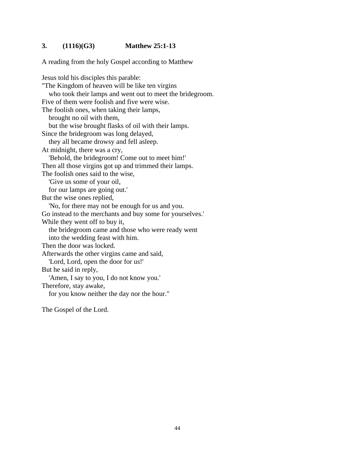#### **3. (1116)(G3) Matthew 25:1-13**

A reading from the holy Gospel according to Matthew Jesus told his disciples this parable: "The Kingdom of heaven will be like ten virgins who took their lamps and went out to meet the bridegroom. Five of them were foolish and five were wise. The foolish ones, when taking their lamps, brought no oil with them, but the wise brought flasks of oil with their lamps. Since the bridegroom was long delayed, they all became drowsy and fell asleep. At midnight, there was a cry, 'Behold, the bridegroom! Come out to meet him!' Then all those virgins got up and trimmed their lamps. The foolish ones said to the wise, 'Give us some of your oil, for our lamps are going out.' But the wise ones replied, 'No, for there may not be enough for us and you. Go instead to the merchants and buy some for yourselves.' While they went off to buy it, the bridegroom came and those who were ready went into the wedding feast with him. Then the door was locked. Afterwards the other virgins came and said, 'Lord, Lord, open the door for us!' But he said in reply, 'Amen, I say to you, I do not know you.' Therefore, stay awake, for you know neither the day nor the hour."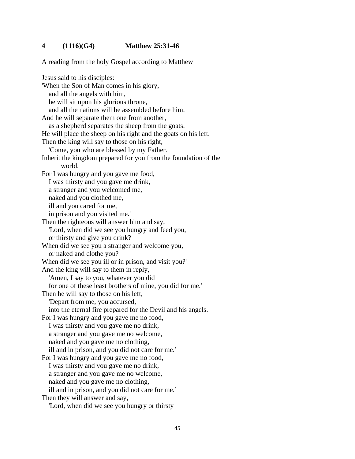#### **4 (1116)(G4) Matthew 25:31-46**

A reading from the holy Gospel according to Matthew

Jesus said to his disciples: 'When the Son of Man comes in his glory, and all the angels with him, he will sit upon his glorious throne, and all the nations will be assembled before him. And he will separate them one from another, as a shepherd separates the sheep from the goats. He will place the sheep on his right and the goats on his left. Then the king will say to those on his right, 'Come, you who are blessed by my Father. Inherit the kingdom prepared for you from the foundation of the world. For I was hungry and you gave me food, I was thirsty and you gave me drink, a stranger and you welcomed me, naked and you clothed me, ill and you cared for me, in prison and you visited me.' Then the righteous will answer him and say, 'Lord, when did we see you hungry and feed you, or thirsty and give you drink? When did we see you a stranger and welcome you, or naked and clothe you? When did we see you ill or in prison, and visit you?' And the king will say to them in reply, 'Amen, I say to you, whatever you did for one of these least brothers of mine, you did for me.' Then he will say to those on his left, 'Depart from me, you accursed, into the eternal fire prepared for the Devil and his angels. For I was hungry and you gave me no food, I was thirsty and you gave me no drink, a stranger and you gave me no welcome, naked and you gave me no clothing, ill and in prison, and you did not care for me.' For I was hungry and you gave me no food, I was thirsty and you gave me no drink, a stranger and you gave me no welcome, naked and you gave me no clothing, ill and in prison, and you did not care for me.' Then they will answer and say, 'Lord, when did we see you hungry or thirsty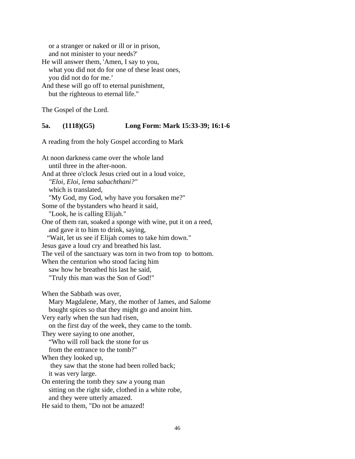or a stranger or naked or ill or in prison, and not minister to your needs?' He will answer them, 'Amen, I say to you, what you did not do for one of these least ones, you did not do for me.' And these will go off to eternal punishment, but the righteous to eternal life."

The Gospel of the Lord.

#### **5a. (1118)(G5) Long Form: Mark 15:33-39; 16:1-6**

A reading from the holy Gospel according to Mark

At noon darkness came over the whole land until three in the after-noon. And at three o'clock Jesus cried out in a loud voice, *"Eloi, Eloi, lema sabachthani?"*  which is translated. "My God, my God, why have you forsaken me?" Some of the bystanders who heard it said, "Look, he is calling Elijah." One of them ran, soaked a sponge with wine, put it on a reed, and gave it to him to drink, saying, "Wait, let us see if Elijah comes to take him down." Jesus gave a loud cry and breathed his last. The veil of the sanctuary was torn in two from top to bottom. When the centurion who stood facing him saw how he breathed his last he said, "Truly this man was the Son of God!" When the Sabbath was over, Mary Magdalene, Mary, the mother of James, and Salome bought spices so that they might go and anoint him. Very early when the sun had risen, on the first day of the week, they came to the tomb. They were saying to one another, "Who will roll back the stone for us from the entrance to the tomb?" When they looked up, they saw that the stone had been rolled back; it was very large. On entering the tomb they saw a young man sitting on the right side, clothed in a white robe, and they were utterly amazed. He said to them, "Do not be amazed!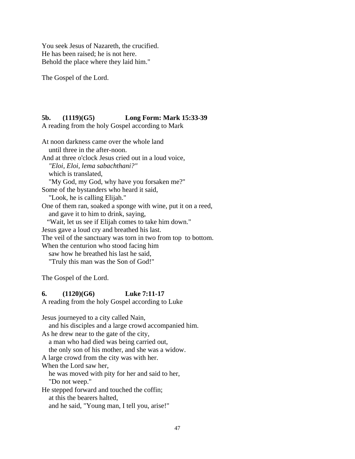You seek Jesus of Nazareth, the crucified. He has been raised; he is not here. Behold the place where they laid him."

The Gospel of the Lord.

#### **5b. (1119)(G5) Long Form: Mark 15:33-39**

A reading from the holy Gospel according to Mark

At noon darkness came over the whole land until three in the after-noon. And at three o'clock Jesus cried out in a loud voice, *"Eloi, Eloi, lema sabachthani?"*  which is translated. "My God, my God, why have you forsaken me?" Some of the bystanders who heard it said, "Look, he is calling Elijah." One of them ran, soaked a sponge with wine, put it on a reed, and gave it to him to drink, saying, "Wait, let us see if Elijah comes to take him down." Jesus gave a loud cry and breathed his last. The veil of the sanctuary was torn in two from top to bottom. When the centurion who stood facing him saw how he breathed his last he said, "Truly this man was the Son of God!"

The Gospel of the Lord.

#### **6. (1120)(G6) Luke 7:11-17**

A reading from the holy Gospel according to Luke

Jesus journeyed to a city called Nain, and his disciples and a large crowd accompanied him. As he drew near to the gate of the city, a man who had died was being carried out, the only son of his mother, and she was a widow. A large crowd from the city was with her. When the Lord saw her, he was moved with pity for her and said to her, "Do not weep." He stepped forward and touched the coffin; at this the bearers halted, and he said, "Young man, I tell you, arise!"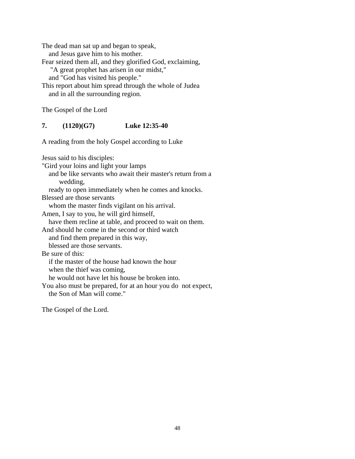The dead man sat up and began to speak,

and Jesus gave him to his mother.

Fear seized them all, and they glorified God, exclaiming,

"A great prophet has arisen in our midst,"

and "God has visited his people."

This report about him spread through the whole of Judea and in all the surrounding region.

The Gospel of the Lord

#### **7. (1120)(G7) Luke 12:35-40**

A reading from the holy Gospel according to Luke

Jesus said to his disciples: "Gird your loins and light your lamps and be like servants who await their master's return from a wedding, ready to open immediately when he comes and knocks. Blessed are those servants whom the master finds vigilant on his arrival. Amen, I say to you, he will gird himself, have them recline at table, and proceed to wait on them. And should he come in the second or third watch and find them prepared in this way, blessed are those servants. Be sure of this: if the master of the house had known the hour when the thief was coming, he would not have let his house be broken into. You also must be prepared, for at an hour you do not expect, the Son of Man will come."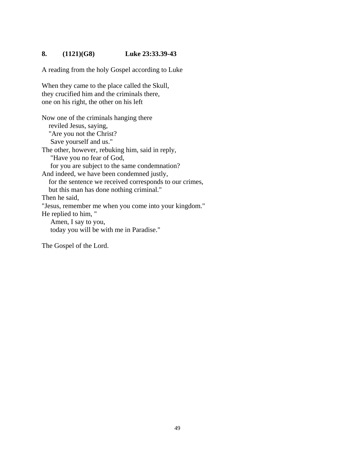#### **8. (1121)(G8) Luke 23:33.39-43**

A reading from the holy Gospel according to Luke

When they came to the place called the Skull, they crucified him and the criminals there, one on his right, the other on his left

Now one of the criminals hanging there reviled Jesus, saying, "Are you not the Christ? Save yourself and us." The other, however, rebuking him, said in reply, "Have you no fear of God, for you are subject to the same condemnation? And indeed, we have been condemned justly, for the sentence we received corresponds to our crimes, but this man has done nothing criminal." Then he said, "Jesus, remember me when you come into your kingdom." He replied to him, " Amen, I say to you, today you will be with me in Paradise."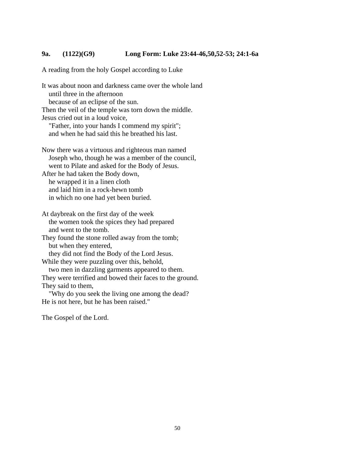#### **9a. (1122)(G9) Long Form: Luke 23:44-46,50,52-53; 24:1-6a**

A reading from the holy Gospel according to Luke

It was about noon and darkness came over the whole land until three in the afternoon because of an eclipse of the sun. Then the veil of the temple was torn down the middle. Jesus cried out in a loud voice, "Father, into your hands I commend my spirit"; and when he had said this he breathed his last. Now there was a virtuous and righteous man named Joseph who, though he was a member of the council, went to Pilate and asked for the Body of Jesus. After he had taken the Body down, he wrapped it in a linen cloth and laid him in a rock-hewn tomb in which no one had yet been buried. At daybreak on the first day of the week the women took the spices they had prepared and went to the tomb. They found the stone rolled away from the tomb; but when they entered, they did not find the Body of the Lord Jesus. While they were puzzling over this, behold, two men in dazzling garments appeared to them. They were terrified and bowed their faces to the ground. They said to them, "Why do you seek the living one among the dead? He is not here, but he has been raised."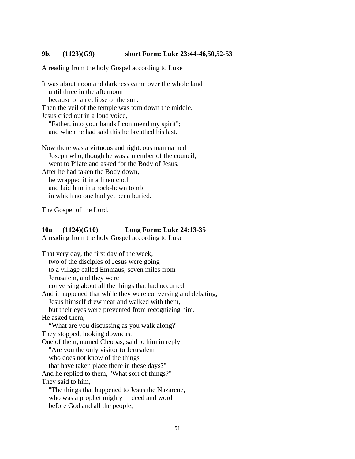#### **9b. (1123)(G9) short Form: Luke 23:44-46,50,52-53**

A reading from the holy Gospel according to Luke

It was about noon and darkness came over the whole land until three in the afternoon because of an eclipse of the sun. Then the veil of the temple was torn down the middle. Jesus cried out in a loud voice, "Father, into your hands I commend my spirit"; and when he had said this he breathed his last.

Now there was a virtuous and righteous man named Joseph who, though he was a member of the council, went to Pilate and asked for the Body of Jesus. After he had taken the Body down, he wrapped it in a linen cloth and laid him in a rock-hewn tomb in which no one had yet been buried.

The Gospel of the Lord.

#### **10a (1124)(G10) Long Form: Luke 24:13-35**

A reading from the holy Gospel according to Luke

That very day, the first day of the week, two of the disciples of Jesus were going to a village called Emmaus, seven miles from Jerusalem, and they were conversing about all the things that had occurred. And it happened that while they were conversing and debating, Jesus himself drew near and walked with them, but their eyes were prevented from recognizing him. He asked them, "What are you discussing as you walk along?" They stopped, looking downcast. One of them, named Cleopas, said to him in reply, "Are you the only visitor to Jerusalem who does not know of the things that have taken place there in these days?" And he replied to them, "What sort of things?" They said to him, "The things that happened to Jesus the Nazarene, who was a prophet mighty in deed and word before God and all the people,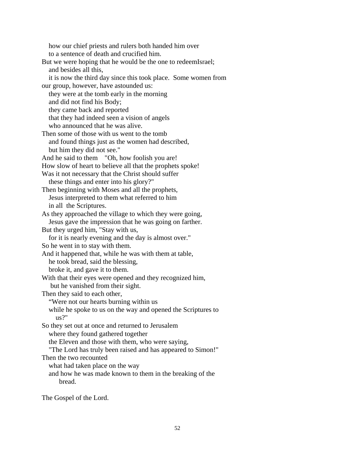how our chief priests and rulers both handed him over to a sentence of death and crucified him. But we were hoping that he would be the one to redeemIsrael; and besides all this, it is now the third day since this took place. Some women from our group, however, have astounded us: they were at the tomb early in the morning and did not find his Body; they came back and reported that they had indeed seen a vision of angels who announced that he was alive. Then some of those with us went to the tomb and found things just as the women had described, but him they did not see." And he said to them "Oh, how foolish you are! How slow of heart to believe all that the prophets spoke! Was it not necessary that the Christ should suffer these things and enter into his glory?" Then beginning with Moses and all the prophets, Jesus interpreted to them what referred to him in all the Scriptures. As they approached the village to which they were going, Jesus gave the impression that he was going on farther. But they urged him, "Stay with us, for it is nearly evening and the day is almost over." So he went in to stay with them. And it happened that, while he was with them at table, he took bread, said the blessing, broke it, and gave it to them. With that their eyes were opened and they recognized him, but he vanished from their sight. Then they said to each other, "Were not our hearts burning within us while he spoke to us on the way and opened the Scriptures to us?" So they set out at once and returned to Jerusalem where they found gathered together the Eleven and those with them, who were saying, "The Lord has truly been raised and has appeared to Simon!" Then the two recounted what had taken place on the way and how he was made known to them in the breaking of the bread.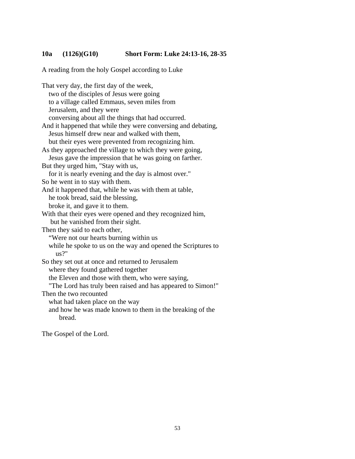#### **10a (1126)(G10) Short Form: Luke 24:13-16, 28-35**

A reading from the holy Gospel according to Luke

That very day, the first day of the week, two of the disciples of Jesus were going to a village called Emmaus, seven miles from Jerusalem, and they were conversing about all the things that had occurred. And it happened that while they were conversing and debating, Jesus himself drew near and walked with them, but their eyes were prevented from recognizing him. As they approached the village to which they were going, Jesus gave the impression that he was going on farther. But they urged him, "Stay with us, for it is nearly evening and the day is almost over." So he went in to stay with them. And it happened that, while he was with them at table, he took bread, said the blessing, broke it, and gave it to them. With that their eyes were opened and they recognized him, but he vanished from their sight. Then they said to each other, "Were not our hearts burning within us while he spoke to us on the way and opened the Scriptures to us?" So they set out at once and returned to Jerusalem where they found gathered together the Eleven and those with them, who were saying, "The Lord has truly been raised and has appeared to Simon!" Then the two recounted what had taken place on the way and how he was made known to them in the breaking of the bread. The Gospel of the Lord.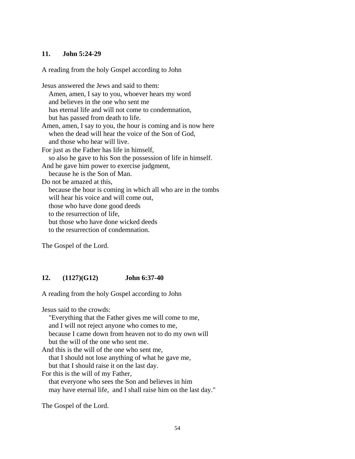#### **11. John 5:24-29**

A reading from the holy Gospel according to John

Jesus answered the Jews and said to them: Amen, amen, I say to you, whoever hears my word and believes in the one who sent me has eternal life and will not come to condemnation, but has passed from death to life. Amen, amen, I say to you, the hour is coming and is now here when the dead will hear the voice of the Son of God, and those who hear will live. For just as the Father has life in himself, so also he gave to his Son the possession of life in himself. And he gave him power to exercise judgment, because he is the Son of Man. Do not be amazed at this, because the hour is coming in which all who are in the tombs will hear his voice and will come out, those who have done good deeds to the resurrection of life, but those who have done wicked deeds to the resurrection of condemnation.

The Gospel of the Lord.

#### **12. (1127)(G12) John 6:37-40**

A reading from the holy Gospel according to John

Jesus said to the crowds: "Everything that the Father gives me will come to me, and I will not reject anyone who comes to me, because I came down from heaven not to do my own will but the will of the one who sent me. And this is the will of the one who sent me, that I should not lose anything of what he gave me, but that I should raise it on the last day. For this is the will of my Father, that everyone who sees the Son and believes in him may have eternal life, and I shall raise him on the last day."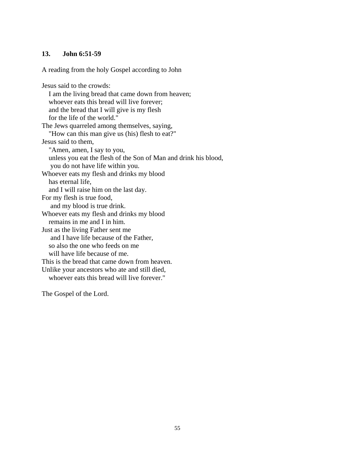#### **13. John 6:51-59**

A reading from the holy Gospel according to John

Jesus said to the crowds: I am the living bread that came down from heaven; whoever eats this bread will live forever; and the bread that I will give is my flesh for the life of the world." The Jews quarreled among themselves, saying, "How can this man give us (his) flesh to eat?" Jesus said to them, "Amen, amen, I say to you, unless you eat the flesh of the Son of Man and drink his blood, you do not have life within you. Whoever eats my flesh and drinks my blood has eternal life, and I will raise him on the last day. For my flesh is true food, and my blood is true drink. Whoever eats my flesh and drinks my blood remains in me and I in him. Just as the living Father sent me and I have life because of the Father, so also the one who feeds on me will have life because of me. This is the bread that came down from heaven. Unlike your ancestors who ate and still died, whoever eats this bread will live forever."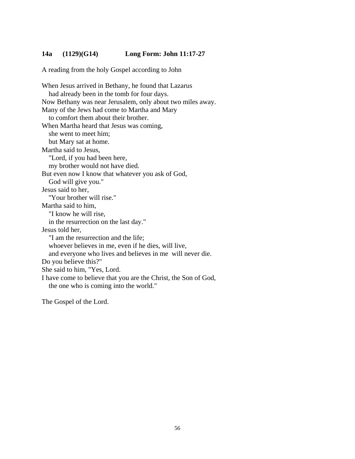#### **14a (1129)(G14) Long Form: John 11:17-27**

A reading from the holy Gospel according to John

When Jesus arrived in Bethany, he found that Lazarus had already been in the tomb for four days. Now Bethany was near Jerusalem, only about two miles away. Many of the Jews had come to Martha and Mary to comfort them about their brother. When Martha heard that Jesus was coming, she went to meet him; but Mary sat at home. Martha said to Jesus, "Lord, if you had been here, my brother would not have died. But even now I know that whatever you ask of God, God will give you." Jesus said to her, ''Your brother will rise." Martha said to him, "I know he will rise, in the resurrection on the last day." Jesus told her, "I am the resurrection and the life; whoever believes in me, even if he dies, will live, and everyone who lives and believes in me will never die. Do you believe this?" She said to him, "Yes, Lord. I have come to believe that you are the Christ, the Son of God, the one who is coming into the world."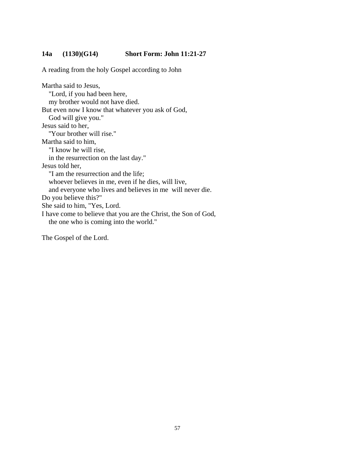#### **14a (1130)(G14) Short Form: John 11:21-27**

A reading from the holy Gospel according to John

Martha said to Jesus, "Lord, if you had been here, my brother would not have died. But even now I know that whatever you ask of God, God will give you." Jesus said to her, ''Your brother will rise." Martha said to him, "I know he will rise, in the resurrection on the last day." Jesus told her, "I am the resurrection and the life; whoever believes in me, even if he dies, will live, and everyone who lives and believes in me will never die. Do you believe this?" She said to him, "Yes, Lord. I have come to believe that you are the Christ, the Son of God, the one who is coming into the world."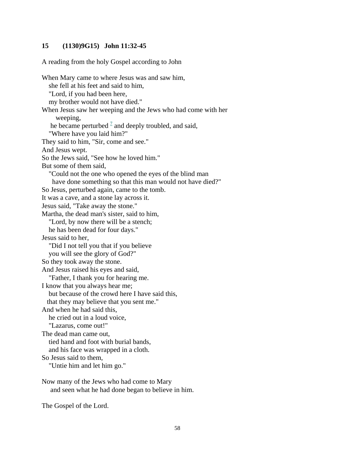#### **15 (1130)9G15) John 11:32-45**

A reading from the holy Gospel according to John When Mary came to where Jesus was and saw him, she fell at his feet and said to him, "Lord, if you had been here, my brother would not have died." When Jesus saw her weeping and the Jews who had come with her weeping, he became perturbed  $\frac{7}{2}$  and deeply troubled, and said, "Where have you laid him?" They said to him, "Sir, come and see." And Jesus wept. So the Jews said, "See how he loved him." But some of them said, "Could not the one who opened the eyes of the blind man have done something so that this man would not have died?" So Jesus, perturbed again, came to the tomb. It was a cave, and a stone lay across it. Jesus said, "Take away the stone." Martha, the dead man's sister, said to him, "Lord, by now there will be a stench; he has been dead for four days." Jesus said to her, "Did I not tell you that if you believe you will see the glory of God?" So they took away the stone. And Jesus raised his eyes and said, "Father, I thank you for hearing me. I know that you always hear me; but because of the crowd here I have said this, that they may believe that you sent me." And when he had said this, he cried out in a loud voice, "Lazarus, come out!" The dead man came out, tied hand and foot with burial bands, and his face was wrapped in a cloth. So Jesus said to them, "Untie him and let him go." Now many of the Jews who had come to Mary

and seen what he had done began to believe in him.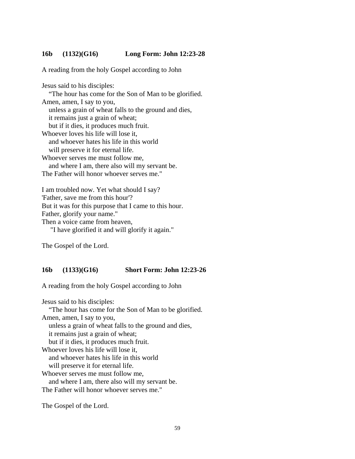#### **16b (1132)(G16) Long Form: John 12:23-28**

A reading from the holy Gospel according to John

Jesus said to his disciples: "The hour has come for the Son of Man to be glorified. Amen, amen, I say to you, unless a grain of wheat falls to the ground and dies, it remains just a grain of wheat; but if it dies, it produces much fruit. Whoever loves his life will lose it, and whoever hates his life in this world will preserve it for eternal life. Whoever serves me must follow me, and where I am, there also will my servant be. The Father will honor whoever serves me."

I am troubled now. Yet what should I say? 'Father, save me from this hour'? But it was for this purpose that I came to this hour. Father, glorify your name." Then a voice came from heaven, "I have glorified it and will glorify it again."

The Gospel of the Lord.

#### **16b (1133)(G16) Short Form: John 12:23-26**

A reading from the holy Gospel according to John

Jesus said to his disciples: "The hour has come for the Son of Man to be glorified. Amen, amen, I say to you, unless a grain of wheat falls to the ground and dies, it remains just a grain of wheat; but if it dies, it produces much fruit. Whoever loves his life will lose it, and whoever hates his life in this world will preserve it for eternal life. Whoever serves me must follow me, and where I am, there also will my servant be. The Father will honor whoever serves me."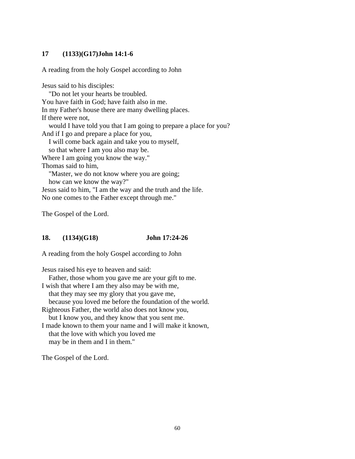#### **17 (1133)(G17)John 14:1-6**

A reading from the holy Gospel according to John

Jesus said to his disciples: "Do not let your hearts be troubled. You have faith in God; have faith also in me. In my Father's house there are many dwelling places. If there were not, would I have told you that I am going to prepare a place for you? And if I go and prepare a place for you, I will come back again and take you to myself, so that where I am you also may be. Where I am going you know the way." Thomas said to him, "Master, we do not know where you are going; how can we know the way?" Jesus said to him, "I am the way and the truth and the life. No one comes to the Father except through me."

The Gospel of the Lord.

#### **18. (1134)(G18) John 17:24-26**

A reading from the holy Gospel according to John

Jesus raised his eye to heaven and said: Father, those whom you gave me are your gift to me. I wish that where I am they also may be with me, that they may see my glory that you gave me, because you loved me before the foundation of the world. Righteous Father, the world also does not know you, but I know you, and they know that you sent me. I made known to them your name and I will make it known, that the love with which you loved me may be in them and I in them."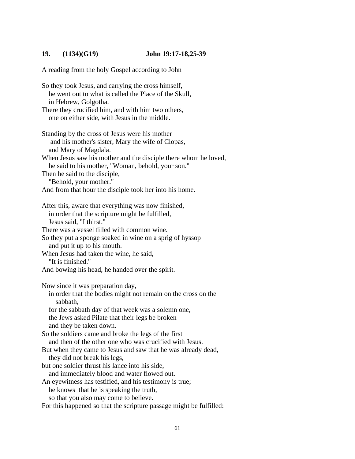#### **19. (1134)(G19) John 19:17-18,25-39**

A reading from the holy Gospel according to John

So they took Jesus, and carrying the cross himself, he went out to what is called the Place of the Skull, in Hebrew, Golgotha. There they crucified him, and with him two others, one on either side, with Jesus in the middle. Standing by the cross of Jesus were his mother and his mother's sister, Mary the wife of Clopas, and Mary of Magdala. When Jesus saw his mother and the disciple there whom he loved, he said to his mother, "Woman, behold, your son." Then he said to the disciple, "Behold, your mother." And from that hour the disciple took her into his home. After this, aware that everything was now finished, in order that the scripture might be fulfilled, Jesus said, "I thirst." There was a vessel filled with common wine. So they put a sponge soaked in wine on a sprig of hyssop and put it up to his mouth. When Jesus had taken the wine, he said, "It is finished." And bowing his head, he handed over the spirit. Now since it was preparation day, in order that the bodies might not remain on the cross on the sabbath, for the sabbath day of that week was a solemn one, the Jews asked Pilate that their legs be broken and they be taken down. So the soldiers came and broke the legs of the first and then of the other one who was crucified with Jesus. But when they came to Jesus and saw that he was already dead, they did not break his legs, but one soldier thrust his lance into his side, and immediately blood and water flowed out. An eyewitness has testified, and his testimony is true; he knows that he is speaking the truth, so that you also may come to believe. For this happened so that the scripture passage might be fulfilled: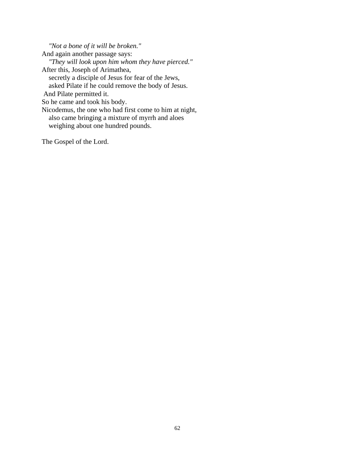*"Not a bone of it will be broken."*  And again another passage says:  *"They will look upon him whom they have pierced."*  After this, Joseph of Arimathea, secretly a disciple of Jesus for fear of the Jews, asked Pilate if he could remove the body of Jesus. And Pilate permitted it. So he came and took his body. Nicodemus, the one who had first come to him at night, also came bringing a mixture of myrrh and aloes weighing about one hundred pounds.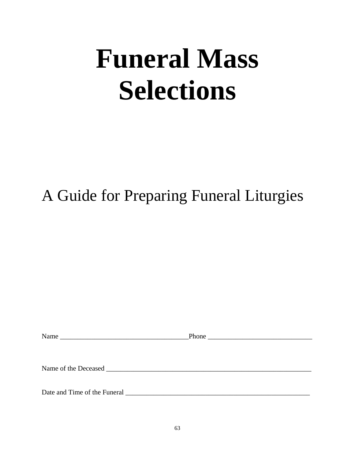## **Funeral Mass Selections**

### A Guide for Preparing Funeral Liturgies

| Name                         | Phone $\frac{1}{\sqrt{1-\frac{1}{2}}\sqrt{1-\frac{1}{2}}\sqrt{1-\frac{1}{2}}\sqrt{1-\frac{1}{2}}\sqrt{1-\frac{1}{2}}\sqrt{1-\frac{1}{2}}\sqrt{1-\frac{1}{2}}\sqrt{1-\frac{1}{2}}\sqrt{1-\frac{1}{2}}\sqrt{1-\frac{1}{2}}\sqrt{1-\frac{1}{2}}\sqrt{1-\frac{1}{2}}\sqrt{1-\frac{1}{2}}\sqrt{1-\frac{1}{2}}\sqrt{1-\frac{1}{2}}\sqrt{1-\frac{1}{2}}\sqrt{1-\frac{1}{2}}\sqrt{1-\frac{1}{2}}\sqrt{1-\frac{1}{2}}$ |  |
|------------------------------|---------------------------------------------------------------------------------------------------------------------------------------------------------------------------------------------------------------------------------------------------------------------------------------------------------------------------------------------------------------------------------------------------------------|--|
|                              |                                                                                                                                                                                                                                                                                                                                                                                                               |  |
|                              |                                                                                                                                                                                                                                                                                                                                                                                                               |  |
|                              |                                                                                                                                                                                                                                                                                                                                                                                                               |  |
|                              |                                                                                                                                                                                                                                                                                                                                                                                                               |  |
|                              |                                                                                                                                                                                                                                                                                                                                                                                                               |  |
|                              |                                                                                                                                                                                                                                                                                                                                                                                                               |  |
| Date and Time of the Funeral |                                                                                                                                                                                                                                                                                                                                                                                                               |  |
|                              |                                                                                                                                                                                                                                                                                                                                                                                                               |  |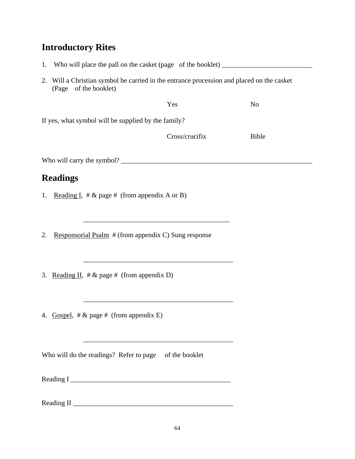### **Introductory Rites**

| 2. Will a Christian symbol be carried in the entrance procession and placed on the casket<br>(Page of the booklet) |                                                               |                                                              |                |  |  |
|--------------------------------------------------------------------------------------------------------------------|---------------------------------------------------------------|--------------------------------------------------------------|----------------|--|--|
|                                                                                                                    |                                                               | Yes                                                          | N <sub>o</sub> |  |  |
| If yes, what symbol will be supplied by the family?                                                                |                                                               |                                                              |                |  |  |
|                                                                                                                    |                                                               | Cross/crucifix                                               | <b>Bible</b>   |  |  |
|                                                                                                                    |                                                               |                                                              |                |  |  |
| <b>Readings</b>                                                                                                    |                                                               |                                                              |                |  |  |
|                                                                                                                    |                                                               |                                                              |                |  |  |
| Reading I, $\# \&$ page $\#$ (from appendix A or B)<br>1.                                                          |                                                               |                                                              |                |  |  |
|                                                                                                                    |                                                               |                                                              |                |  |  |
|                                                                                                                    |                                                               | <u> 1989 - Johann Barbara, martxa eta idazlea (h. 1989).</u> |                |  |  |
| Responsorial Psalm # (from appendix C) Sung response<br>2.                                                         |                                                               |                                                              |                |  |  |
|                                                                                                                    |                                                               |                                                              |                |  |  |
| 3. Reading II, $\# \&$ page $\#$ (from appendix D)                                                                 |                                                               |                                                              |                |  |  |
|                                                                                                                    |                                                               |                                                              |                |  |  |
|                                                                                                                    | <u> 1980 - Johann Barn, fransk politik fotograf (d. 1980)</u> |                                                              |                |  |  |
| 4. Gospel, $\# \&$ page $\#$ (from appendix E)                                                                     |                                                               |                                                              |                |  |  |
|                                                                                                                    |                                                               |                                                              |                |  |  |
|                                                                                                                    |                                                               |                                                              |                |  |  |
| Who will do the readings? Refer to page of the booklet                                                             |                                                               |                                                              |                |  |  |
|                                                                                                                    |                                                               |                                                              |                |  |  |
| Reading I                                                                                                          |                                                               |                                                              |                |  |  |
|                                                                                                                    |                                                               |                                                              |                |  |  |
|                                                                                                                    |                                                               |                                                              |                |  |  |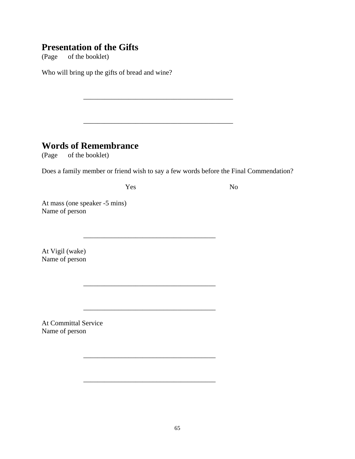#### **Presentation of the Gifts**

(Page of the booklet)

Who will bring up the gifts of bread and wine?

#### **Words of Remembrance**

(Page of the booklet)

Does a family member or friend wish to say a few words before the Final Commendation?

 $\frac{1}{2}$  ,  $\frac{1}{2}$  ,  $\frac{1}{2}$  ,  $\frac{1}{2}$  ,  $\frac{1}{2}$  ,  $\frac{1}{2}$  ,  $\frac{1}{2}$  ,  $\frac{1}{2}$  ,  $\frac{1}{2}$  ,  $\frac{1}{2}$  ,  $\frac{1}{2}$  ,  $\frac{1}{2}$  ,  $\frac{1}{2}$  ,  $\frac{1}{2}$  ,  $\frac{1}{2}$  ,  $\frac{1}{2}$  ,  $\frac{1}{2}$  ,  $\frac{1}{2}$  ,  $\frac{1$ 

Yes No

 $\overline{\phantom{a}}$  ,  $\overline{\phantom{a}}$  ,  $\overline{\phantom{a}}$  ,  $\overline{\phantom{a}}$  ,  $\overline{\phantom{a}}$  ,  $\overline{\phantom{a}}$  ,  $\overline{\phantom{a}}$  ,  $\overline{\phantom{a}}$  ,  $\overline{\phantom{a}}$  ,  $\overline{\phantom{a}}$  ,  $\overline{\phantom{a}}$  ,  $\overline{\phantom{a}}$  ,  $\overline{\phantom{a}}$  ,  $\overline{\phantom{a}}$  ,  $\overline{\phantom{a}}$  ,  $\overline{\phantom{a}}$ 

 $\overline{\phantom{a}}$  ,  $\overline{\phantom{a}}$  ,  $\overline{\phantom{a}}$  ,  $\overline{\phantom{a}}$  ,  $\overline{\phantom{a}}$  ,  $\overline{\phantom{a}}$  ,  $\overline{\phantom{a}}$  ,  $\overline{\phantom{a}}$  ,  $\overline{\phantom{a}}$  ,  $\overline{\phantom{a}}$  ,  $\overline{\phantom{a}}$  ,  $\overline{\phantom{a}}$  ,  $\overline{\phantom{a}}$  ,  $\overline{\phantom{a}}$  ,  $\overline{\phantom{a}}$  ,  $\overline{\phantom{a}}$ 

 $\overline{\phantom{a}}$  ,  $\overline{\phantom{a}}$  ,  $\overline{\phantom{a}}$  ,  $\overline{\phantom{a}}$  ,  $\overline{\phantom{a}}$  ,  $\overline{\phantom{a}}$  ,  $\overline{\phantom{a}}$  ,  $\overline{\phantom{a}}$  ,  $\overline{\phantom{a}}$  ,  $\overline{\phantom{a}}$  ,  $\overline{\phantom{a}}$  ,  $\overline{\phantom{a}}$  ,  $\overline{\phantom{a}}$  ,  $\overline{\phantom{a}}$  ,  $\overline{\phantom{a}}$  ,  $\overline{\phantom{a}}$ 

 $\frac{1}{2}$  ,  $\frac{1}{2}$  ,  $\frac{1}{2}$  ,  $\frac{1}{2}$  ,  $\frac{1}{2}$  ,  $\frac{1}{2}$  ,  $\frac{1}{2}$  ,  $\frac{1}{2}$  ,  $\frac{1}{2}$  ,  $\frac{1}{2}$  ,  $\frac{1}{2}$  ,  $\frac{1}{2}$  ,  $\frac{1}{2}$  ,  $\frac{1}{2}$  ,  $\frac{1}{2}$  ,  $\frac{1}{2}$  ,  $\frac{1}{2}$  ,  $\frac{1}{2}$  ,  $\frac{1$ 

 $\overline{\phantom{a}}$  ,  $\overline{\phantom{a}}$  ,  $\overline{\phantom{a}}$  ,  $\overline{\phantom{a}}$  ,  $\overline{\phantom{a}}$  ,  $\overline{\phantom{a}}$  ,  $\overline{\phantom{a}}$  ,  $\overline{\phantom{a}}$  ,  $\overline{\phantom{a}}$  ,  $\overline{\phantom{a}}$  ,  $\overline{\phantom{a}}$  ,  $\overline{\phantom{a}}$  ,  $\overline{\phantom{a}}$  ,  $\overline{\phantom{a}}$  ,  $\overline{\phantom{a}}$  ,  $\overline{\phantom{a}}$ 

At mass (one speaker -5 mins) Name of person

At Vigil (wake) Name of person

At Committal Service Name of person